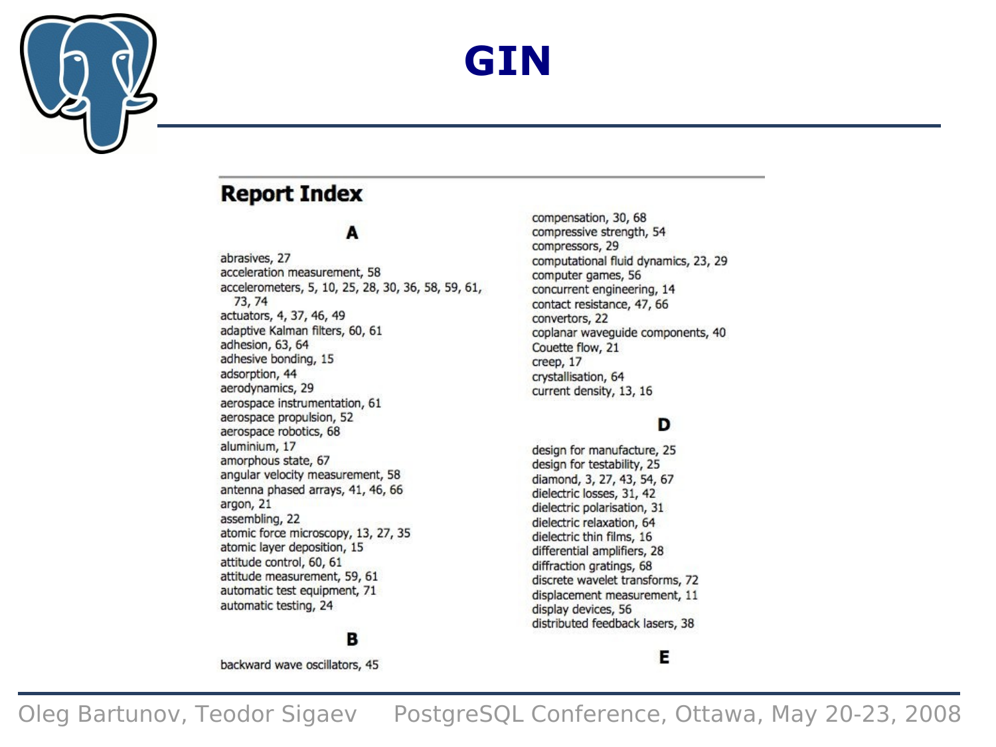

### **GIN**

#### **Report Index**

#### A

abrasives, 27 acceleration measurement, 58 accelerometers, 5, 10, 25, 28, 30, 36, 58, 59, 61, 73, 74 actuators, 4, 37, 46, 49 adaptive Kalman filters, 60, 61 adhesion, 63, 64 adhesive bonding, 15 adsorption, 44 aerodynamics, 29 aerospace instrumentation, 61 aerospace propulsion, 52 aerospace robotics, 68 aluminium, 17 amorphous state, 67 angular velocity measurement, 58 antenna phased arrays, 41, 46, 66 argon, 21 assembling, 22 atomic force microscopy, 13, 27, 35 atomic layer deposition, 15 attitude control, 60, 61 attitude measurement, 59, 61 automatic test equipment, 71 automatic testing, 24

#### B

backward wave oscillators, 45

compensation, 30, 68 compressive strength, 54 compressors, 29 computational fluid dynamics, 23, 29 computer games, 56 concurrent engineering, 14 contact resistance, 47, 66 convertors, 22 coplanar wavequide components, 40 Couette flow, 21 creep, 17 crystallisation, 64 current density, 13, 16

#### D

design for manufacture, 25 design for testability, 25 diamond, 3, 27, 43, 54, 67 dielectric losses, 31, 42 dielectric polarisation, 31 dielectric relaxation, 64 dielectric thin films, 16 differential amplifiers, 28 diffraction gratings, 68 discrete wavelet transforms, 72 displacement measurement, 11 display devices, 56 distributed feedback lasers, 38

#### Е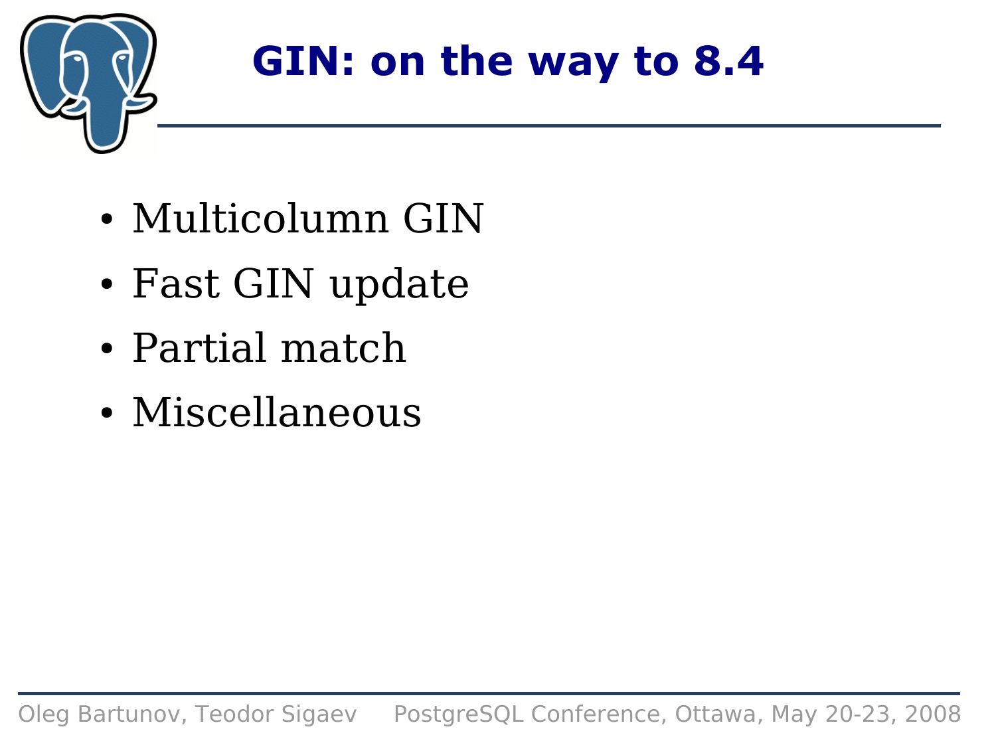

## **GIN: on the way to 8.4**

- Multicolumn GIN
- Fast GIN update
- Partial match
- Miscellaneous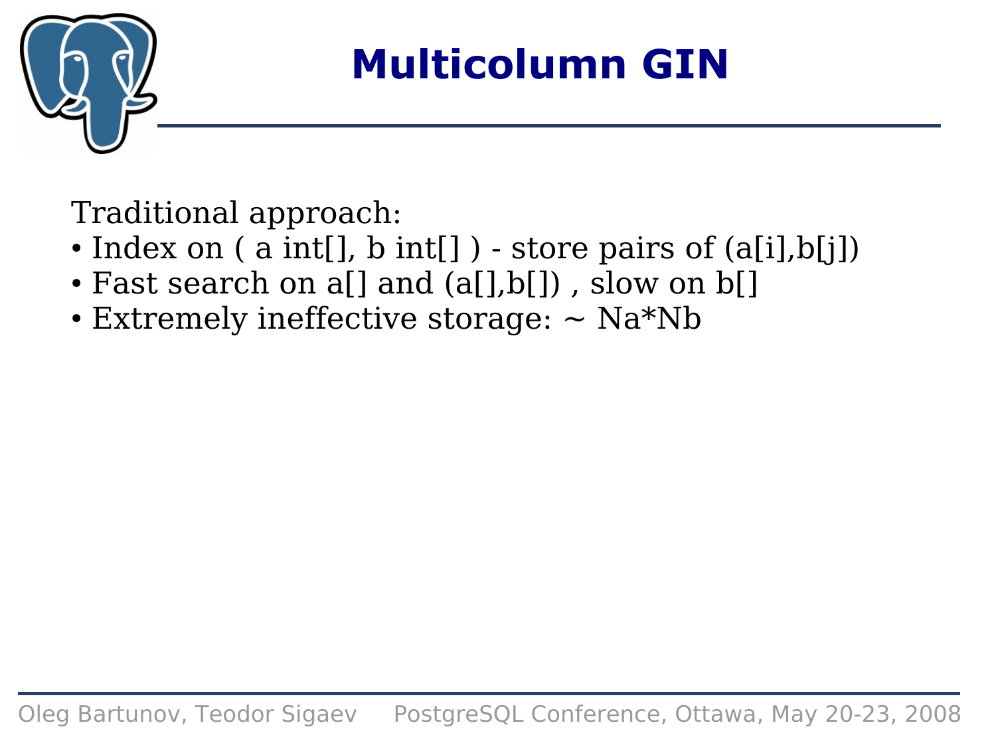

### **Multicolumn GIN**

Traditional approach:

- Index on  $(a \text{ int}[])$ ,  $b \text{ int}[]$  ) store pairs of  $(a[i], b[j])$
- Fast search on a[] and (a[],b[]), slow on b[]
- Extremely ineffective storage:  $\sim$  Na\*Nb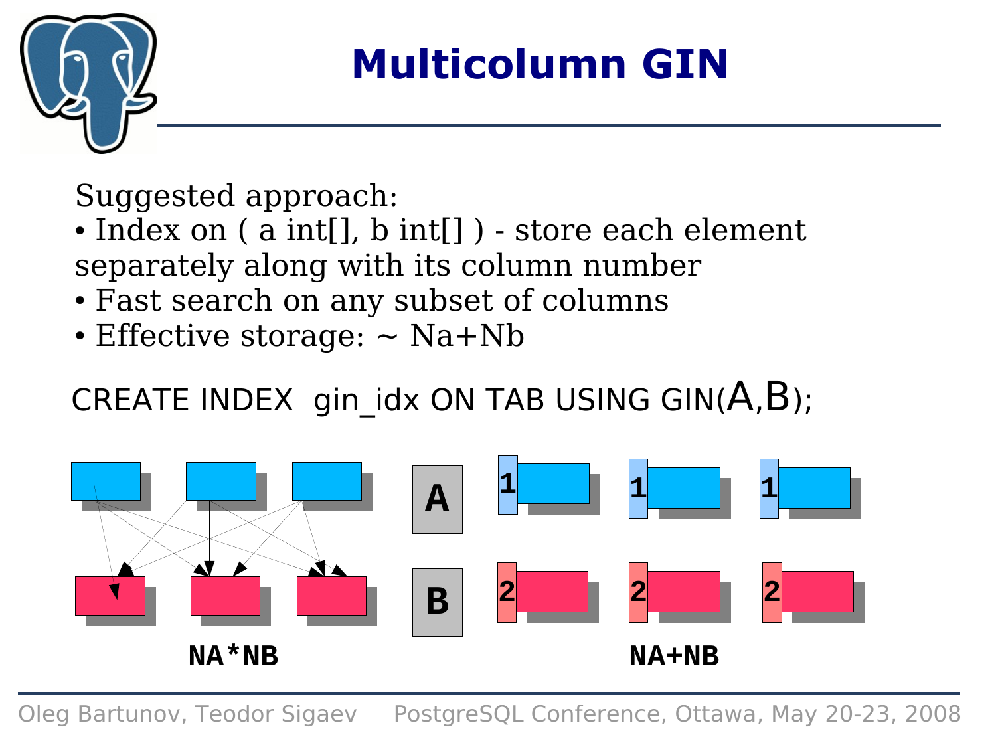

## **Multicolumn GIN**

Suggested approach:

- Index on ( a int[], b int[]) store each element separately along with its column number
- Fast search on any subset of columns
- $\cdot$  Effective storage:  $\sim$  Na+Nb

### CREATE INDEX gin idx ON TAB USING GIN( $A,B$ );

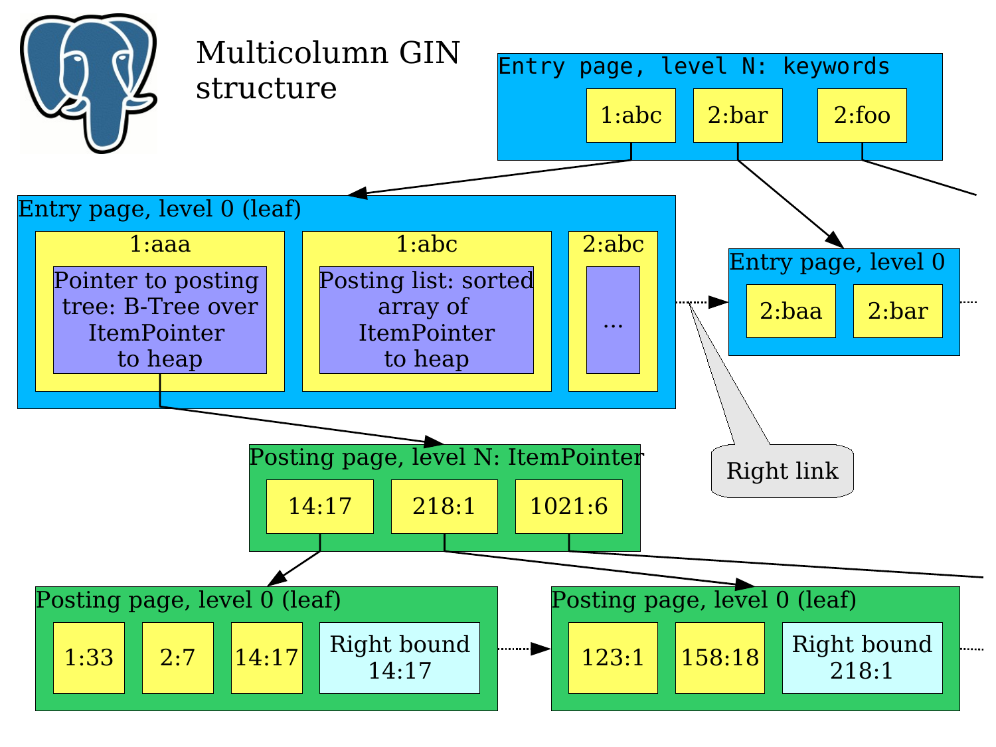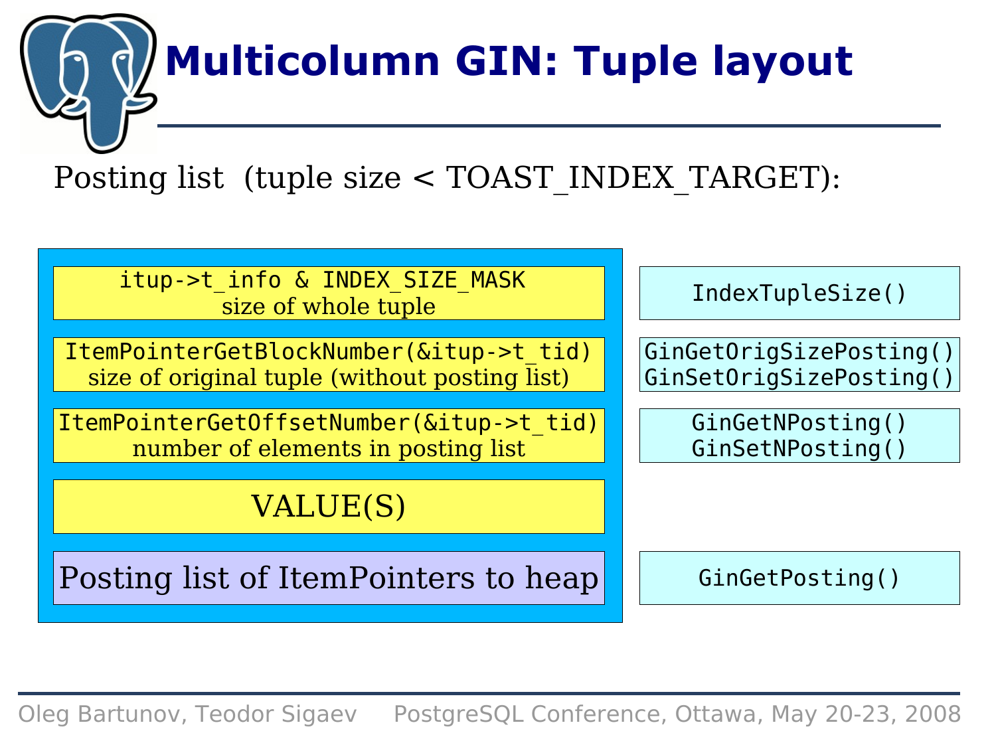# **Multicolumn GIN: Tuple layout**

Posting list (tuple size < TOAST\_INDEX\_TARGET):

itup->t\_info & INDEX\_SIZE\_MASK size of whole tuple

ItemPointerGetBlockNumber(&itup->t\_tid) size of original tuple (without posting list)

ItemPointerGetOffsetNumber(&itup->t\_tid) number of elements in posting list

### VALUE(S)

Posting list of ItemPointers to heap

IndexTupleSize()

GinGetOrigSizePosting() GinSetOrigSizePosting()

> GinGetNPosting() GinSetNPosting()

GinGetPosting()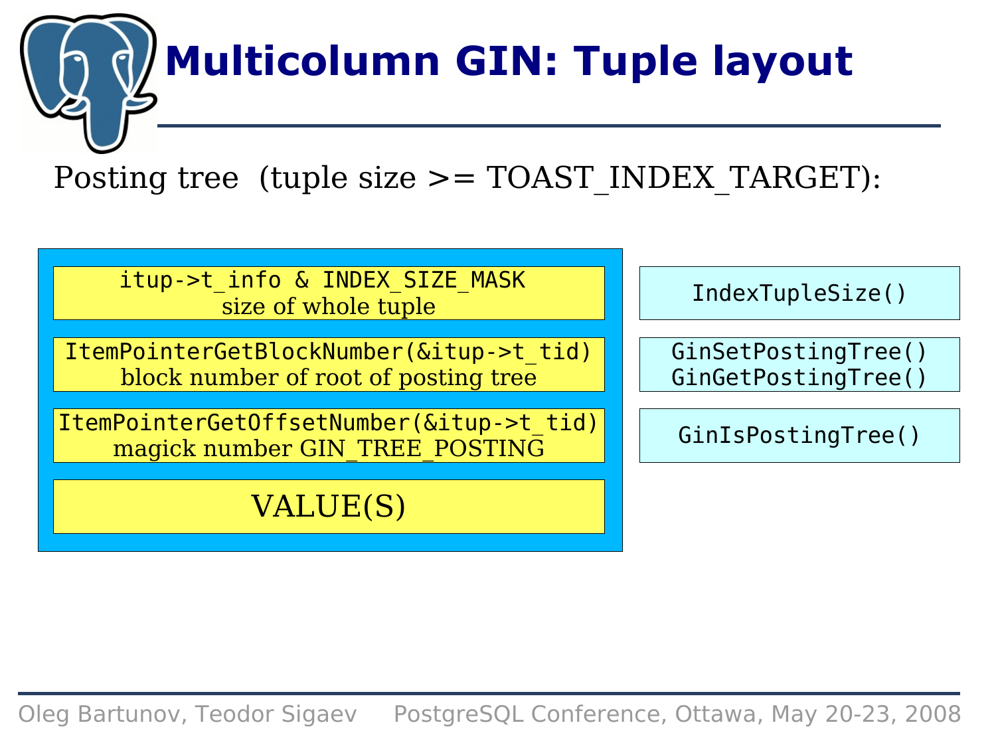# **Multicolumn GIN: Tuple layout**

Posting tree (tuple size  $>=$  TOAST INDEX TARGET):

itup->t\_info & INDEX\_SIZE\_MASK size of whole tuple

ItemPointerGetBlockNumber(&itup->t\_tid) block number of root of posting tree

ItemPointerGetOffsetNumber(&itup->t\_tid) magick number GIN\_TREE\_POSTING

#### VALUE(S)

IndexTupleSize()

GinSetPostingTree() GinGetPostingTree()

GinIsPostingTree()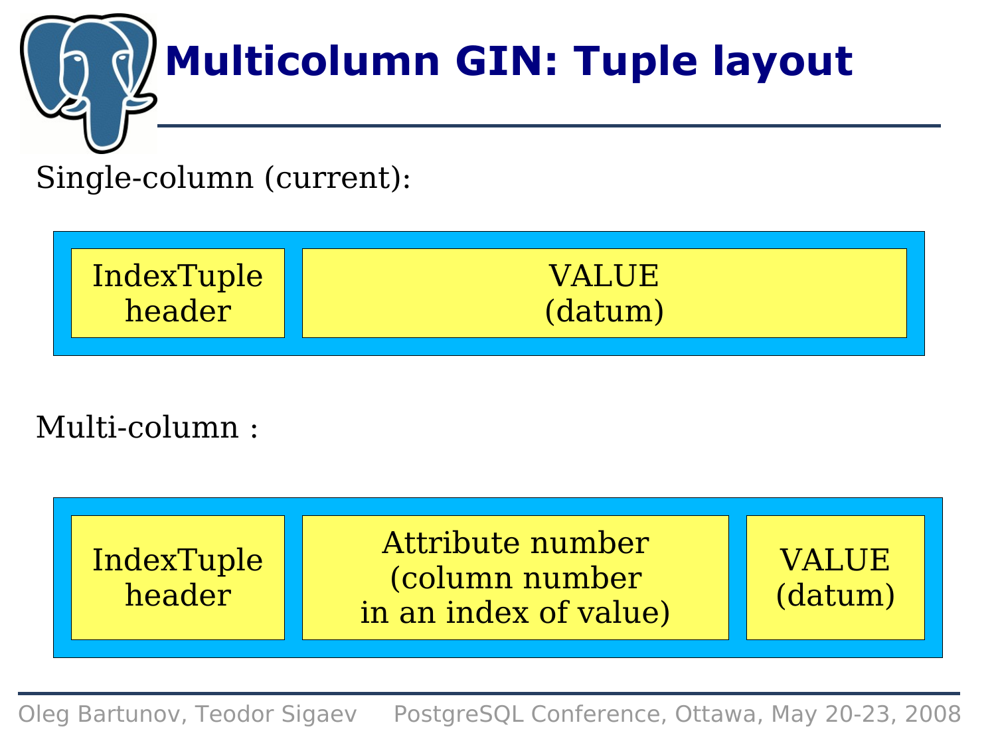

### Single-column (current):



### Multi-column :

| Attribute number<br>IndexTuple<br>(column number<br>header<br>in an index of value) | <b>VALUE</b><br>(datum) |
|-------------------------------------------------------------------------------------|-------------------------|
|-------------------------------------------------------------------------------------|-------------------------|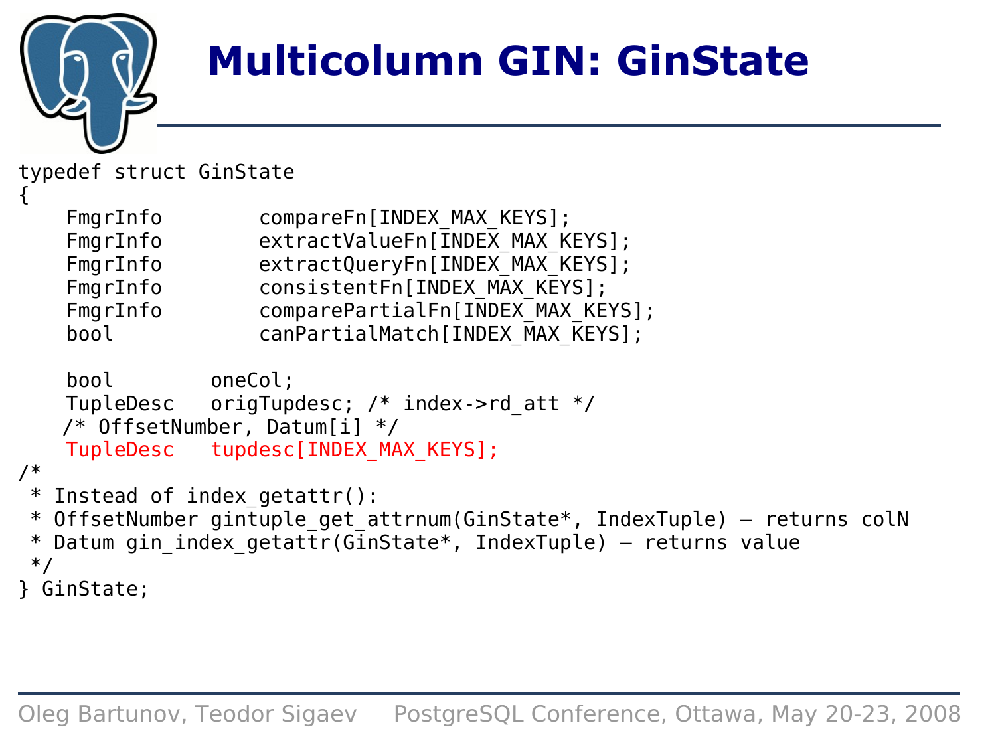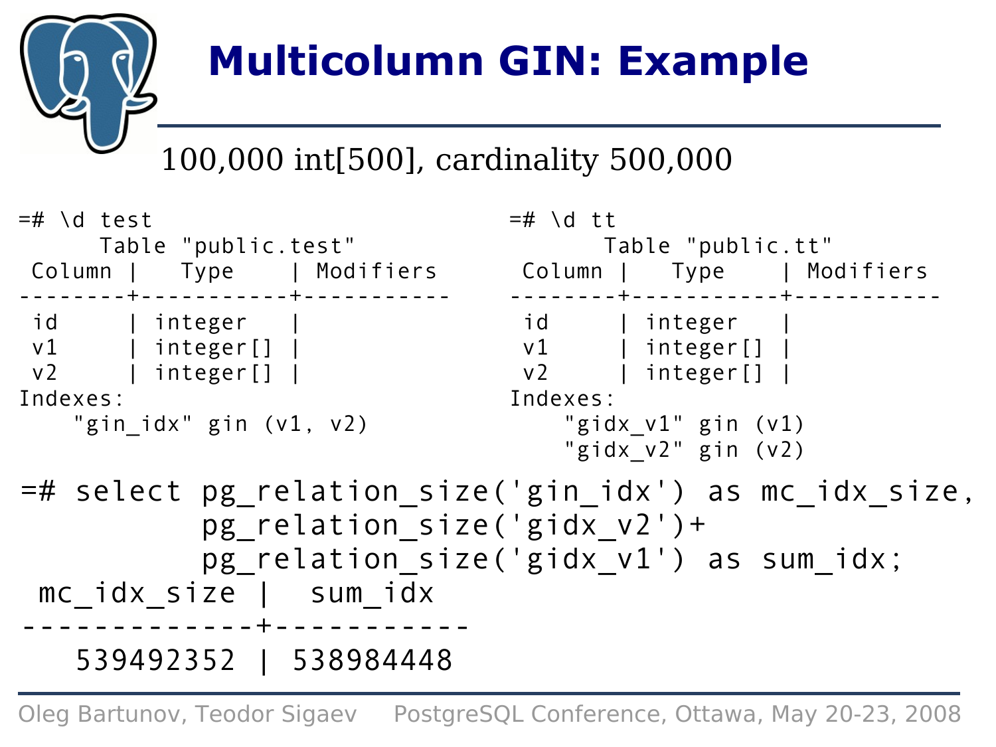

## **Multicolumn GIN: Example**

### 100,000 int[500], cardinality 500,000

| $=$ # \d test                                 | $=\#$ \d tt                                           |
|-----------------------------------------------|-------------------------------------------------------|
| Table "public.test"                           | Table "public.tt"                                     |
|                                               |                                                       |
| . _ _ _ _ _ _ + _ _ _ _ _ _ _ _ _ _ _ + _ _ _ | ------+----------+--                                  |
| id   integer                                  | id   integer                                          |
| $v1$   integer[]                              | v1   integer[]                                        |
| $v2$   integer[]                              | v2   integer[]                                        |
| Indexes:                                      | Indexes:                                              |
| "gin idx" gin (v1, v2)                        | "gidx v1" gin (v1)                                    |
|                                               | "gidx $v2$ " gin $(v2)$                               |
|                                               | =# select pg_relation_size('gin_idx') as mc idx size, |
| pg relation size('gidx v2')+                  |                                                       |
|                                               | pg relation size('gidx v1') as sum idx;               |
| mc idx size   sum idx                         |                                                       |
|                                               |                                                       |
| 539492352   538984448                         |                                                       |
|                                               |                                                       |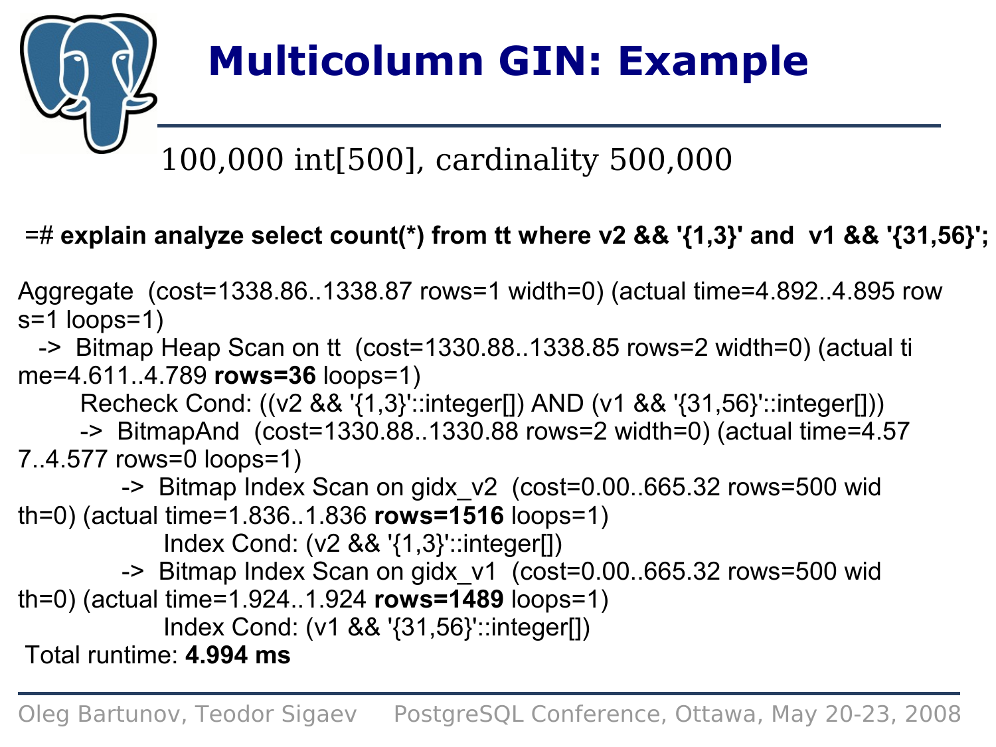

# **Multicolumn GIN: Example**

### 100,000 int[500], cardinality 500,000

#### =# **explain analyze select count(\*) from tt where v2 && '{1,3}' and v1 && '{31,56}';**

Aggregate (cost=1338.86..1338.87 rows=1 width=0) (actual time=4.892..4.895 row s=1 loops=1)

 -> Bitmap Heap Scan on tt (cost=1330.88..1338.85 rows=2 width=0) (actual ti me=4.611..4.789 **rows=36** loops=1)

Recheck Cond: ((v2 && '{1,3}'::integer[]) AND (v1 && '{31,56}'::integer[]))

-> BitmapAnd (cost=1330.88..1330.88 rows=2 width=0) (actual time=4.57

7..4.577 rows=0 loops=1)

 -> Bitmap Index Scan on gidx\_v2 (cost=0.00..665.32 rows=500 wid th=0) (actual time=1.836..1.836 **rows=1516** loops=1)

Index Cond: (v2 && '{1,3}'::integer[])

-> Bitmap Index Scan on gidx\_v1 (cost=0.00..665.32 rows=500 wid

th=0) (actual time=1.924..1.924 **rows=1489** loops=1)

Index Cond: (v1 && '{31,56}'::integer[])

Total runtime: **4.994 ms**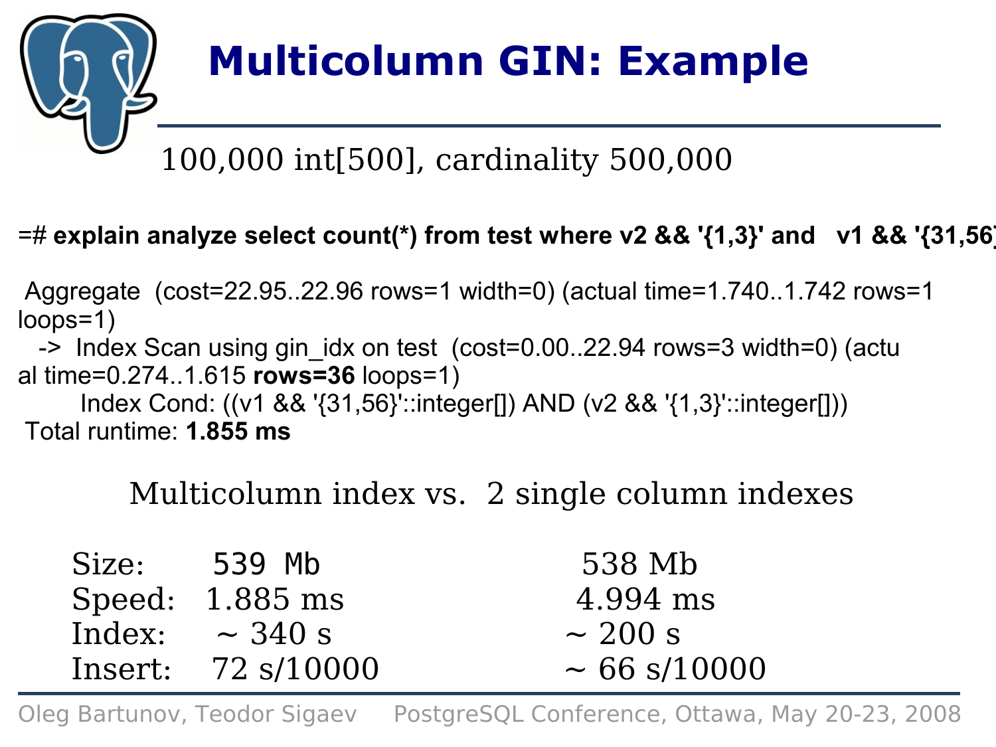

# **Multicolumn GIN: Example**

### 100,000 int[500], cardinality 500,000

#### =# **explain analyze select count(\*) from test where v2 && '{1,3}' and v1 && '{31,56}';**

Aggregate (cost=22.95..22.96 rows=1 width=0) (actual time=1.740..1.742 rows=1 loops=1)

 -> Index Scan using gin\_idx on test (cost=0.00..22.94 rows=3 width=0) (actu al time=0.274..1.615 **rows=36** loops=1)

 Index Cond: ((v1 && '{31,56}'::integer[]) AND (v2 && '{1,3}'::integer[])) Total runtime: **1.855 ms**

Multicolumn index vs. 2 single column indexes

| Size: | 539 Mb              | 538 Mb            |
|-------|---------------------|-------------------|
|       | Speed: $1.885$ ms   | 4.994 ms          |
|       | Index: $\sim$ 340 s | $\sim$ 200 s      |
|       | Insert: 72 s/10000  | $\sim 66$ s/10000 |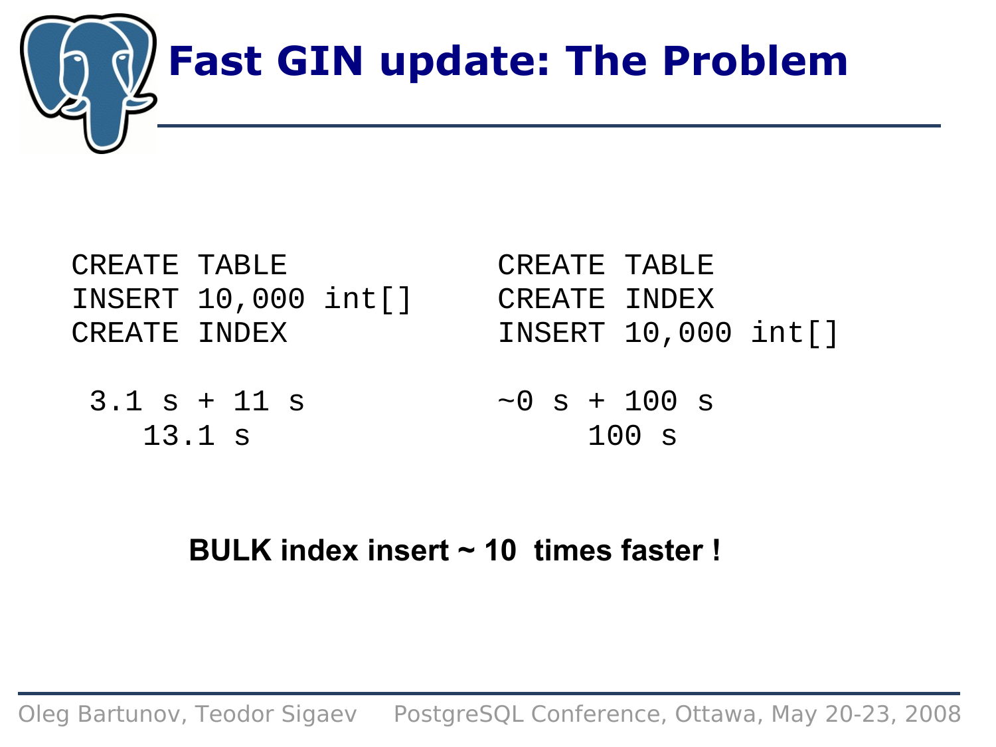

| CREATE TABLE |                          |  | CREATE TABLE |                     |  |
|--------------|--------------------------|--|--------------|---------------------|--|
|              | INSERT $10,000$ int $[]$ |  | CREATE INDEX |                     |  |
| CREATE INDEX |                          |  |              | INSERT 10,000 int[] |  |

3.1 s + 11 s 13.1 s  $\sim 0$  s + 100 s 100 s

#### **BULK index insert ~ 10 times faster !**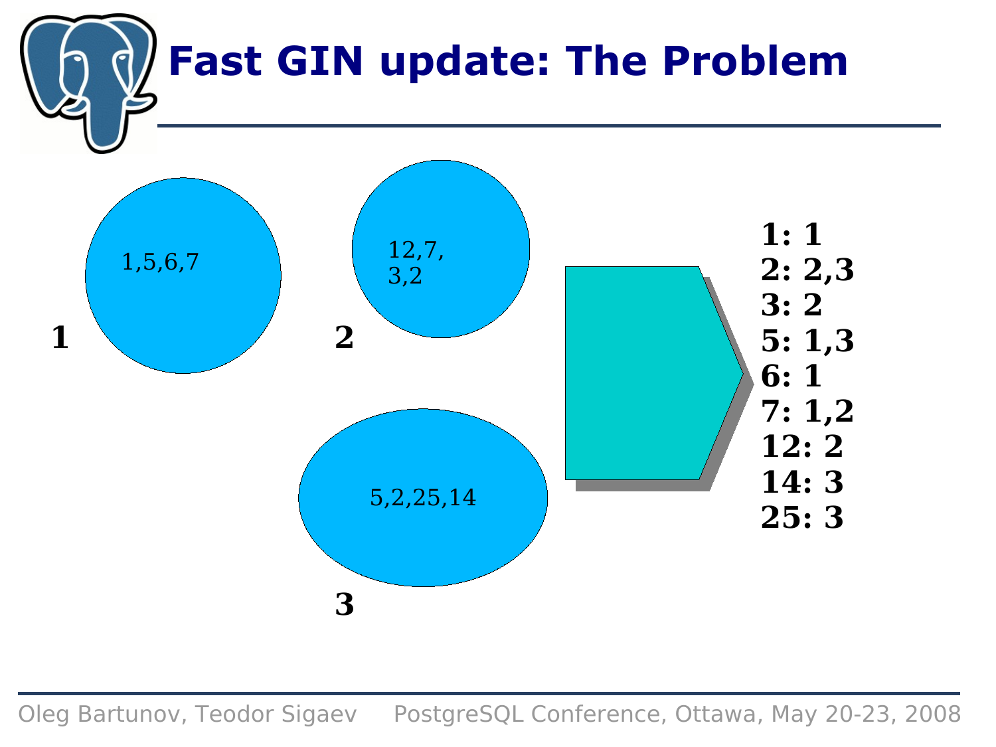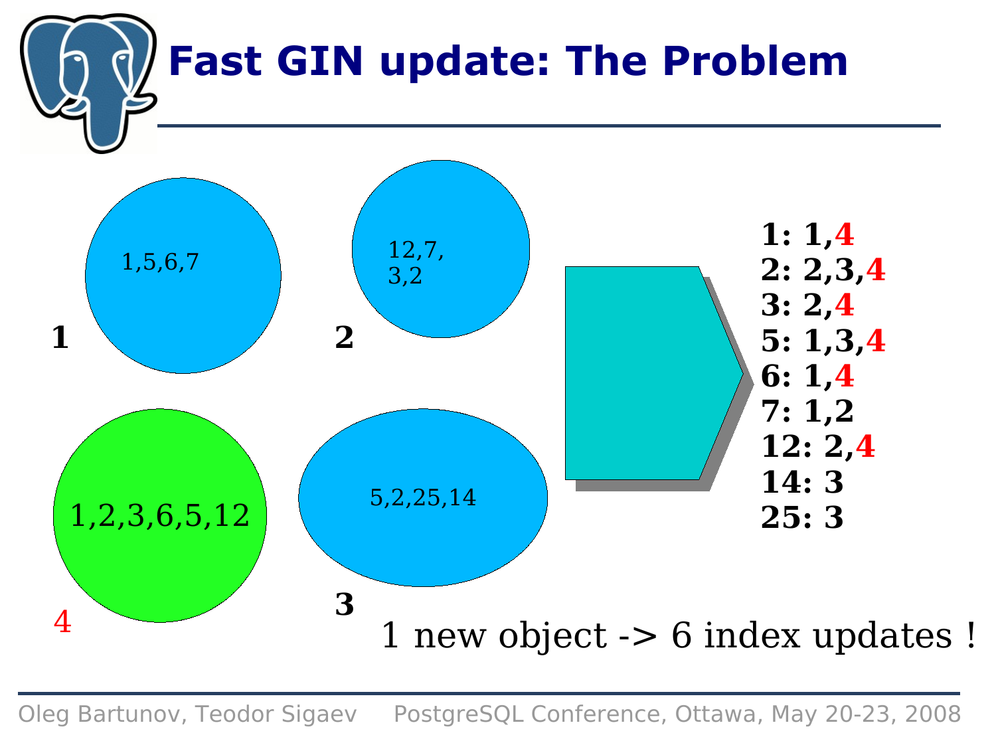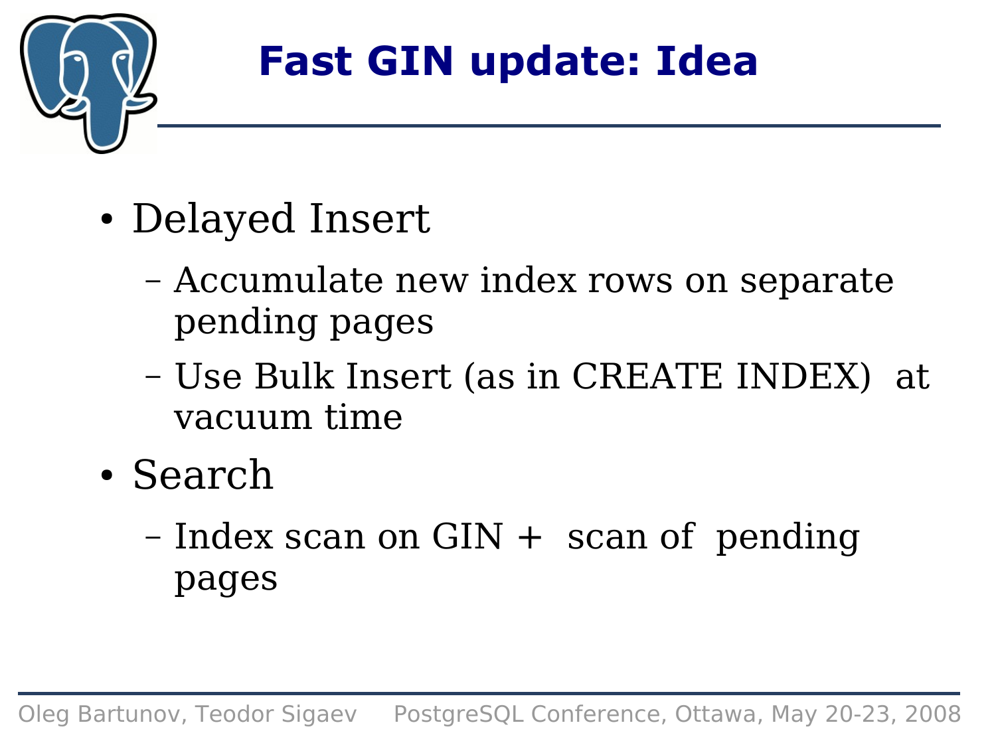

### **Fast GIN update: Idea**

- Delayed Insert
	- Accumulate new index rows on separate pending pages
	- Use Bulk Insert (as in CREATE INDEX) at vacuum time
- Search
	- $-$  Index scan on GIN  $+$  scan of pending pages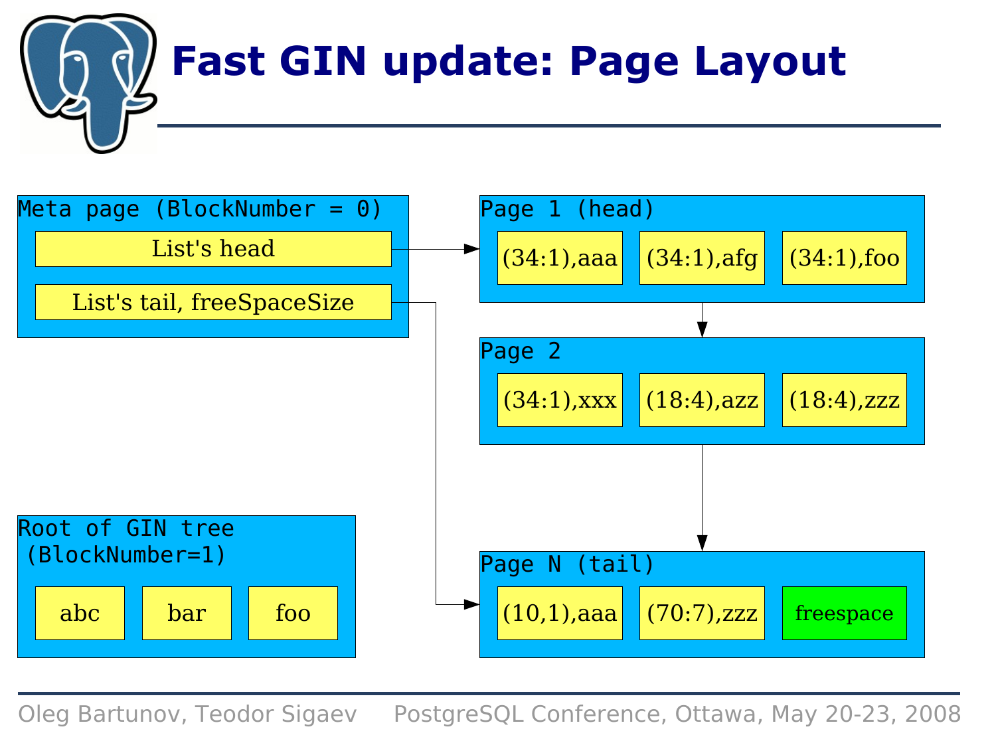

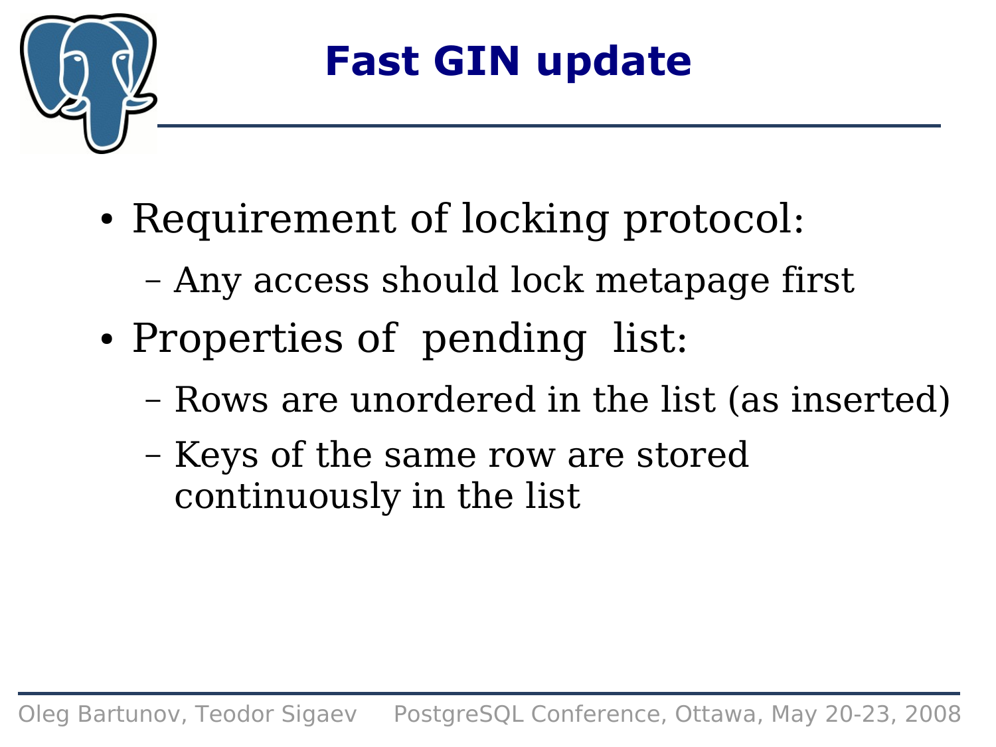

### **Fast GIN update**

- Requirement of locking protocol:
	- Any access should lock metapage first
- Properties of pending list:
	- Rows are unordered in the list (as inserted)
	- Keys of the same row are stored continuously in the list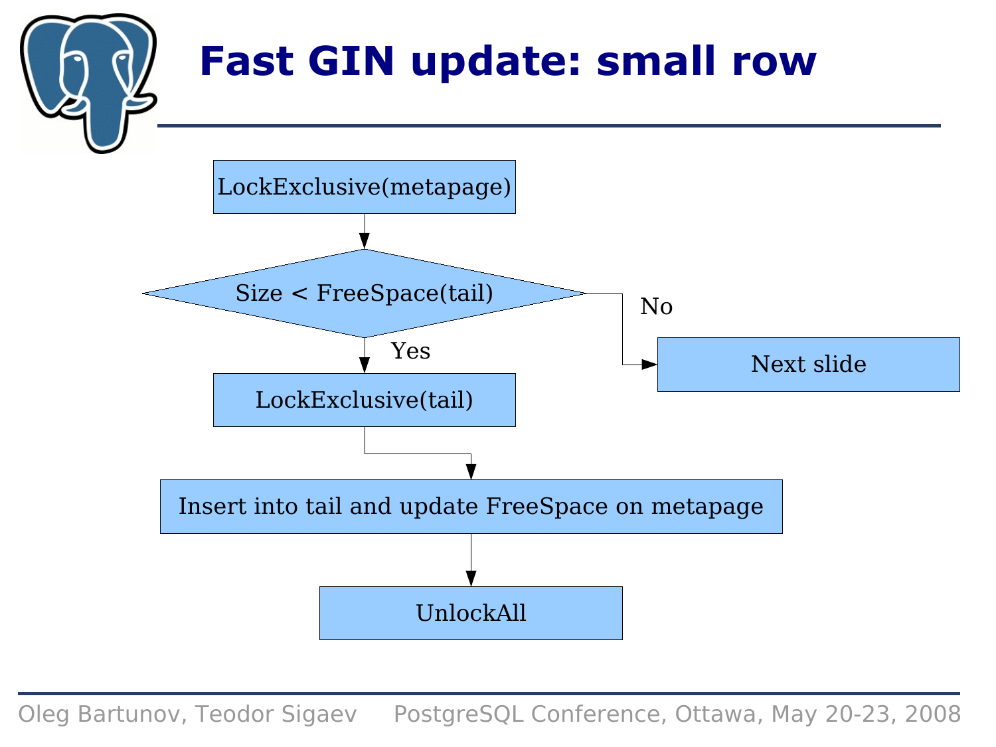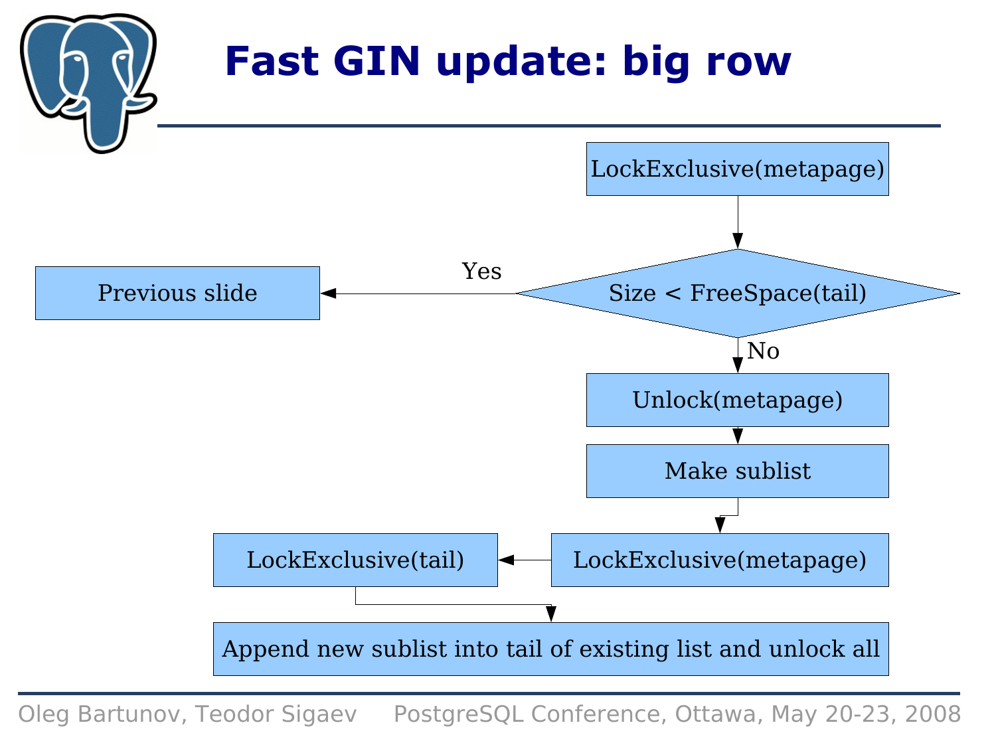# **Fast GIN update: big row**

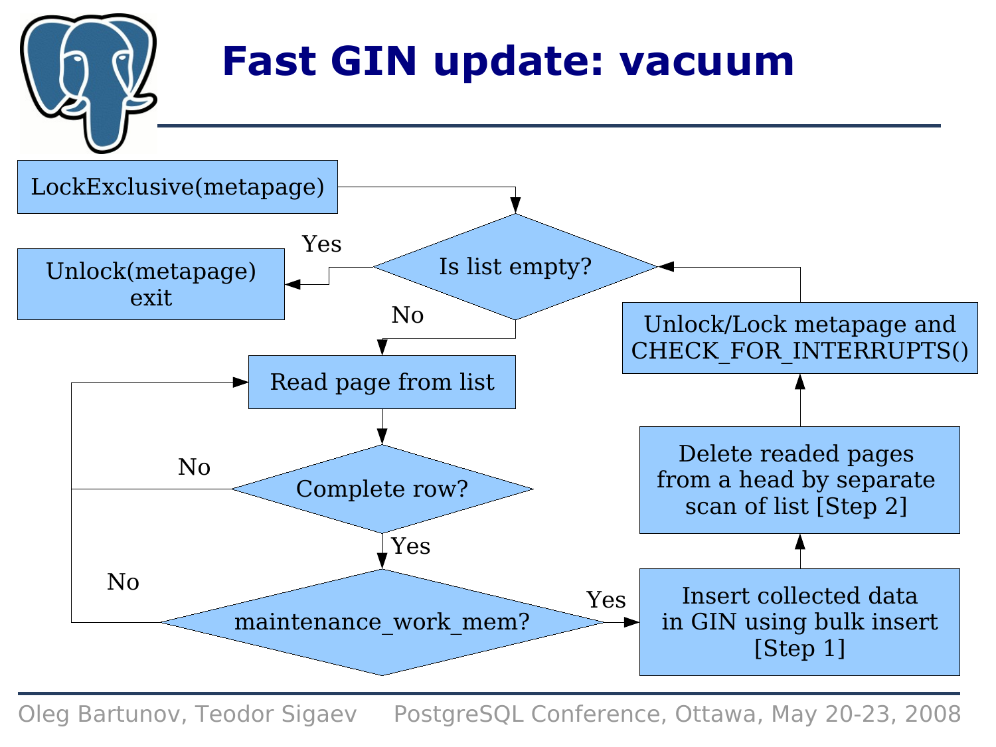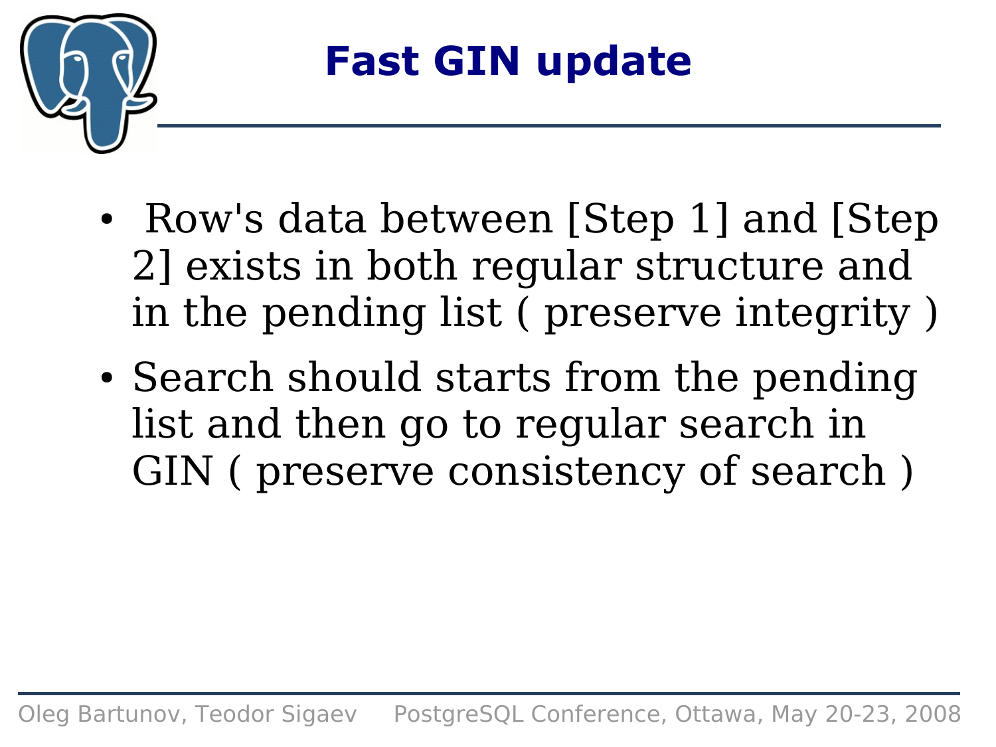

- Row's data between [Step 1] and [Step] 2] exists in both regular structure and in the pending list ( preserve integrity )
- Search should starts from the pending list and then go to regular search in GIN ( preserve consistency of search )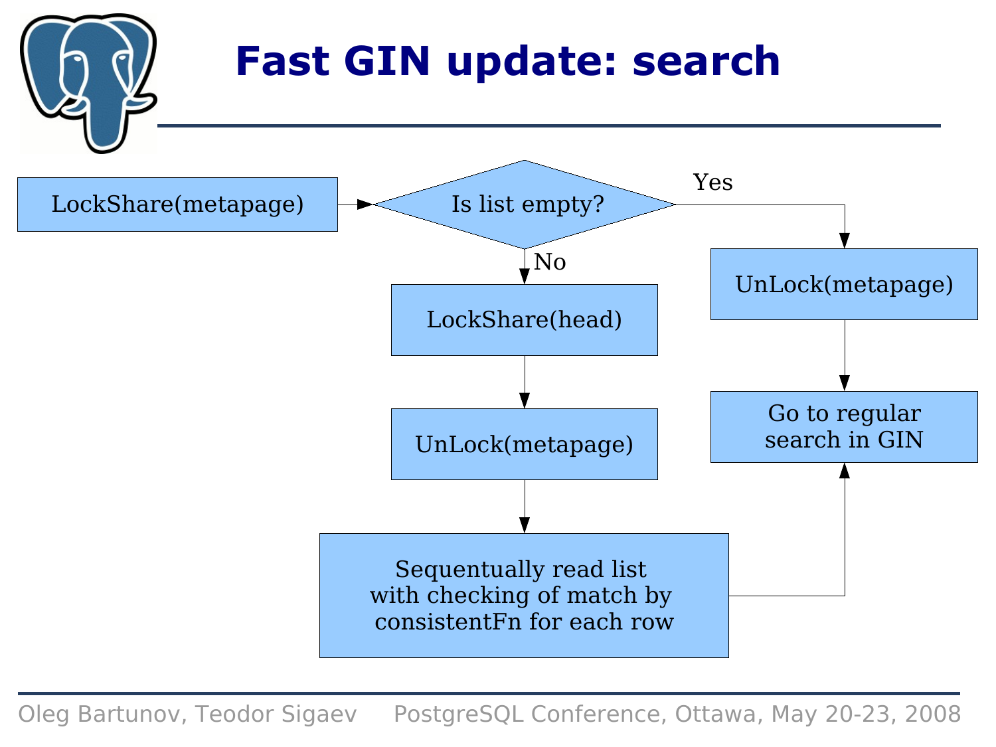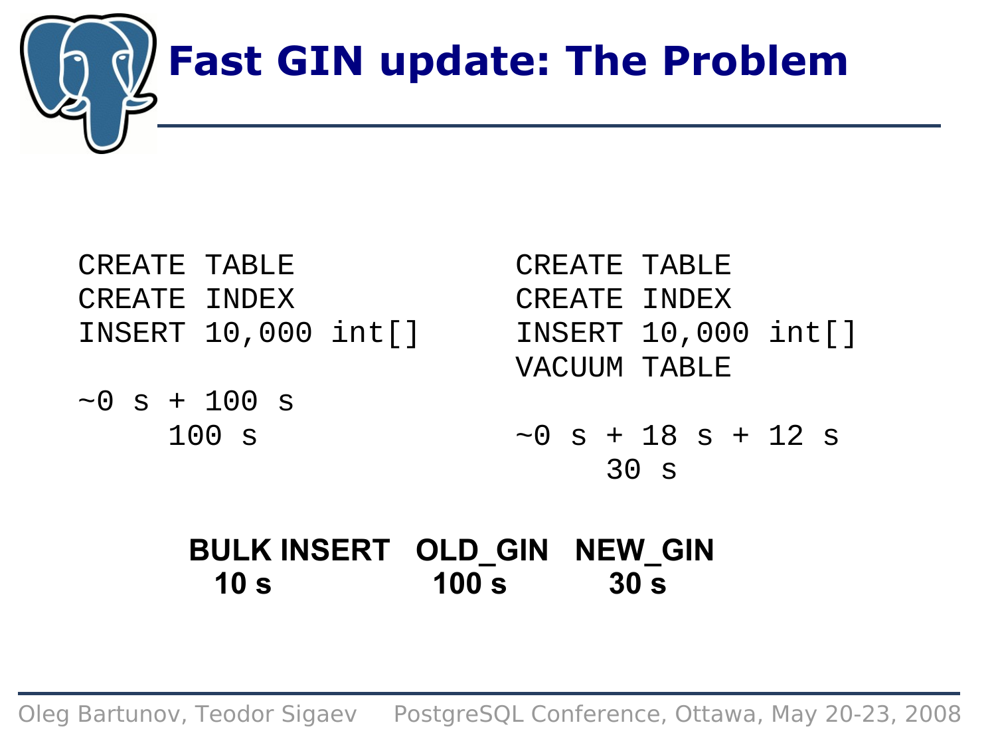

| CREATE TABLE |                     |  |
|--------------|---------------------|--|
| CREATE INDEX |                     |  |
|              | INSERT 10,000 int[] |  |
|              |                     |  |

 $\sim 0$  s + 100 s 100 s

CREATE TABLE CREATE INDEX INSERT 10,000 int[] VACUUM TABLE  $\sim$ 0 s + 18 s + 12 s 30 s

### **BULK INSERT OLD\_GIN NEW\_GIN 10 s 100 s 30 s**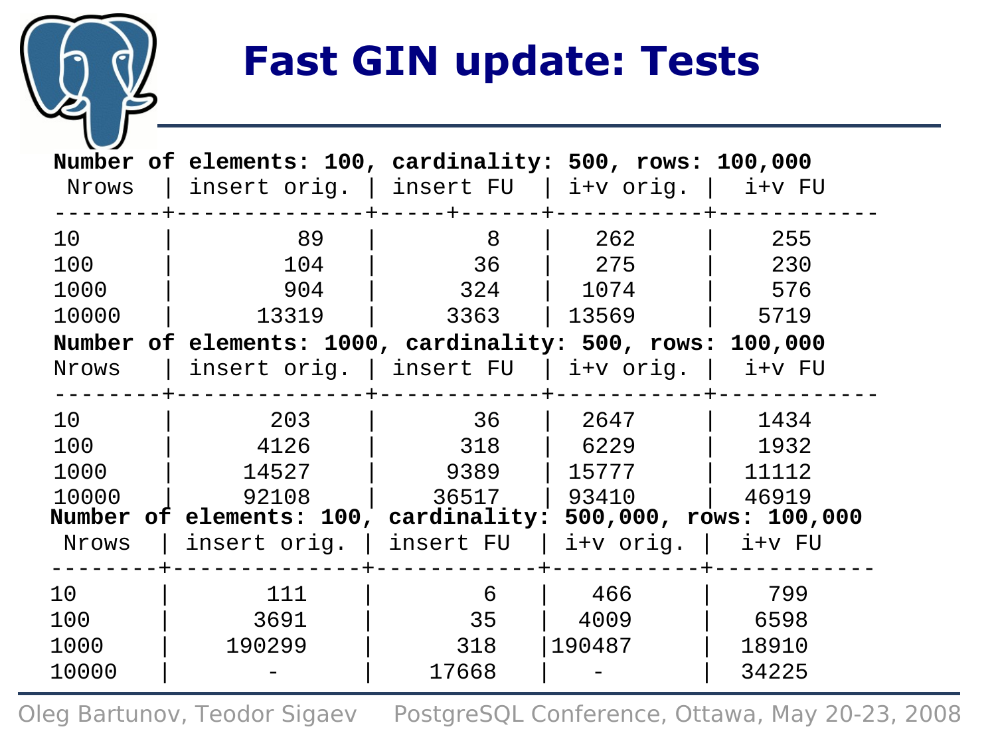### **Fast GIN update: Tests**

| Nrows           | Number of elements: 100, cardinality: 500, rows: 100,000<br>insert orig.   insert FU   i+v orig.   i+v FU |       |                        |          |
|-----------------|-----------------------------------------------------------------------------------------------------------|-------|------------------------|----------|
| 10 <sup>°</sup> | 89                                                                                                        | 8     | 262                    | 255      |
| 100             | 104                                                                                                       | 36    | 275                    | 230      |
| 1000            | 904                                                                                                       | 324   | 1074                   | 576      |
| 10000           | 13319                                                                                                     | 3363  | 13569                  | 5719     |
|                 | Number of elements: 1000, cardinality: 500, rows: 100,000                                                 |       |                        |          |
| Nrows           | $\vert$ insert orig. $\vert$ insert FU $\vert$ i+v orig. $\vert$                                          |       |                        | $i+v$ FU |
| 10 <sup>°</sup> | 203                                                                                                       | 36    | 2647                   | 1434     |
| 100             | 4126                                                                                                      | 318   | 6229                   | 1932     |
| 1000            | 14527                                                                                                     | 9389  | 15777                  | 11112    |
| 10000           | 92108                                                                                                     | 36517 | 93410                  | 46919    |
|                 | Number of elements: 100, cardinality: 500,000, rows: 100,000                                              |       |                        |          |
| Nrows           | insert orig. $\vert$ insert FU $\vert$                                                                    |       | $i+v$ orig.   $i+v$ FU |          |
| 10 <sup>°</sup> | 111                                                                                                       | 6     | 466                    | 799      |
| 100             | 3691                                                                                                      | 35    | 4009                   | 6598     |
| 1000            | 190299                                                                                                    | 318   | 190487                 | 18910    |
| 10000           |                                                                                                           | 17668 |                        | 34225    |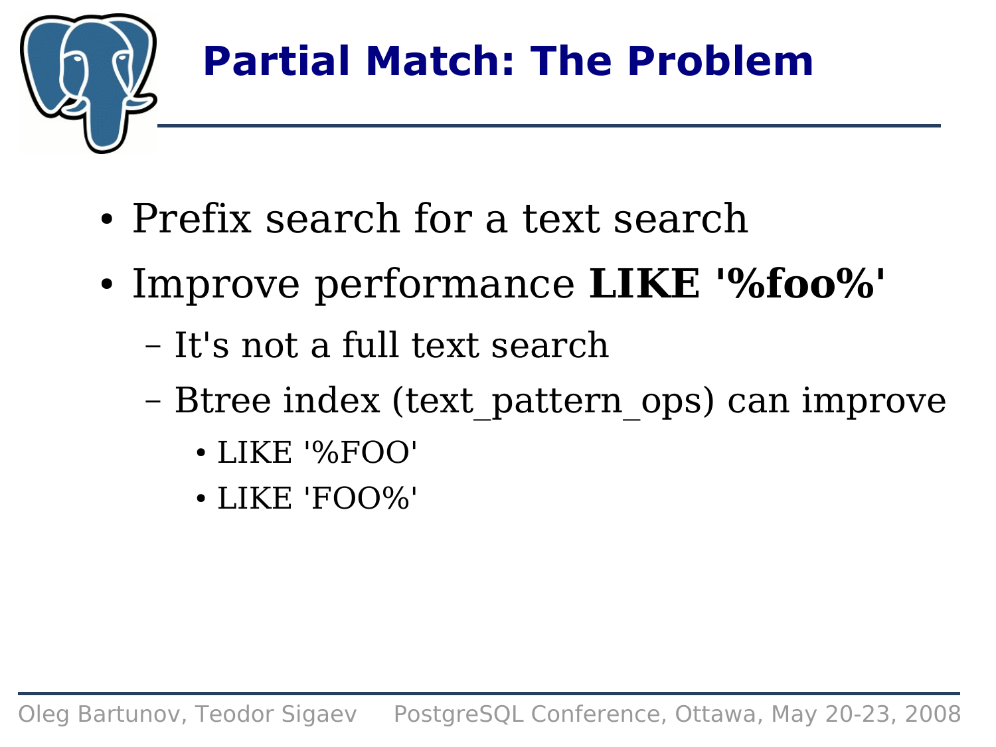

# **Partial Match: The Problem**

- Prefix search for a text search
- Improve performance **LIKE '%foo%'**
	- It's not a full text search
	- Btree index (text\_pattern\_ops) can improve
		- LIKE '%FOO'
		- LIKE 'FOO%'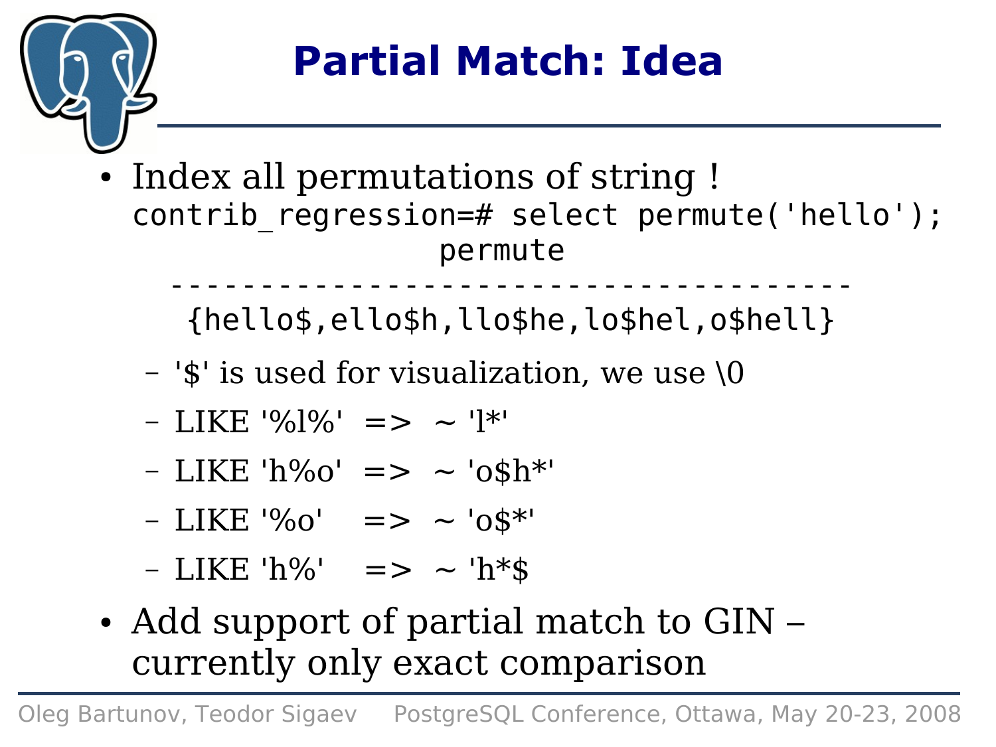

## **Partial Match: Idea**

• Index all permutations of string ! contrib regression=# select permute('hello'); permute

 -------------------------------------- {hello\$,ello\$h,llo\$he,lo\$hel,o\$hell}

- '\$' is used for visualization, we use \0
- $-$  LIKE '% $]$ %' => ~ ' $]$ \*'
- $-LIKE'h\%o' \implies \sim 'o\$h*'$
- $-LIKE'$ %0' => ~ '0\$\*'
- $-LIKE'h\%'$  => ~ 'h\*\$
- Add support of partial match to GIN currently only exact comparison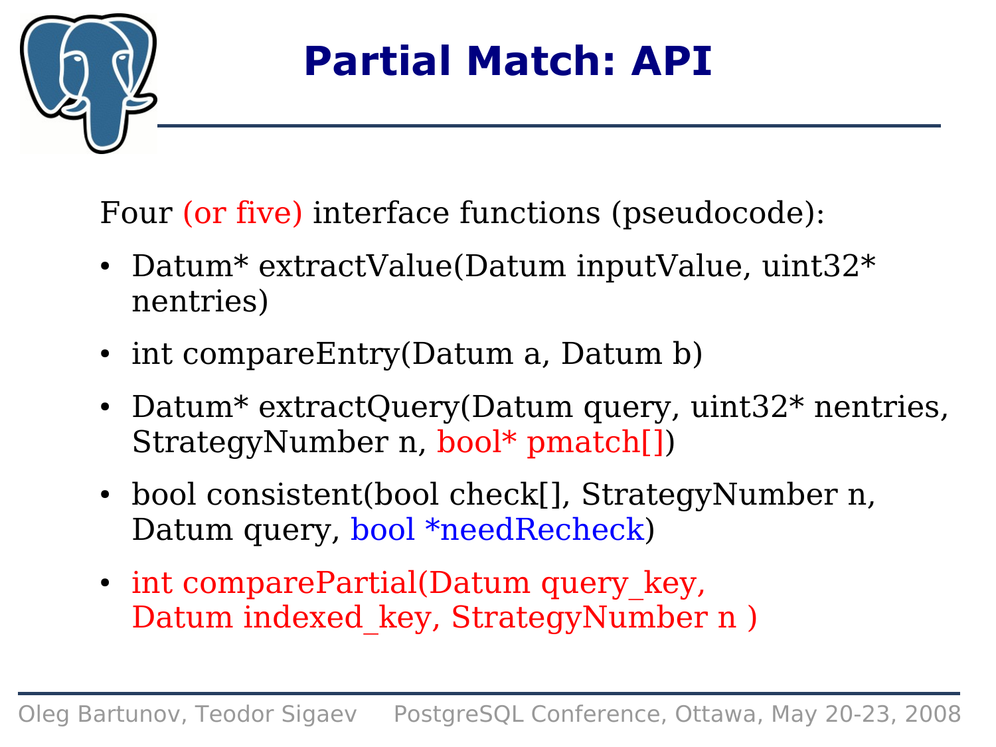

### **Partial Match: API**

Four (or five) interface functions (pseudocode):

- Datum\* extractValue(Datum inputValue, uint32 $*$ nentries)
- int compareEntry(Datum a, Datum b)
- Datum\* extractQuery(Datum query, uint32\* nentries, StrategyNumber n, bool\* pmatch[])
- bool consistent(bool check[], StrategyNumber n, Datum query, bool \*needRecheck)
- int comparePartial(Datum query key, Datum indexed\_key, StrategyNumber n )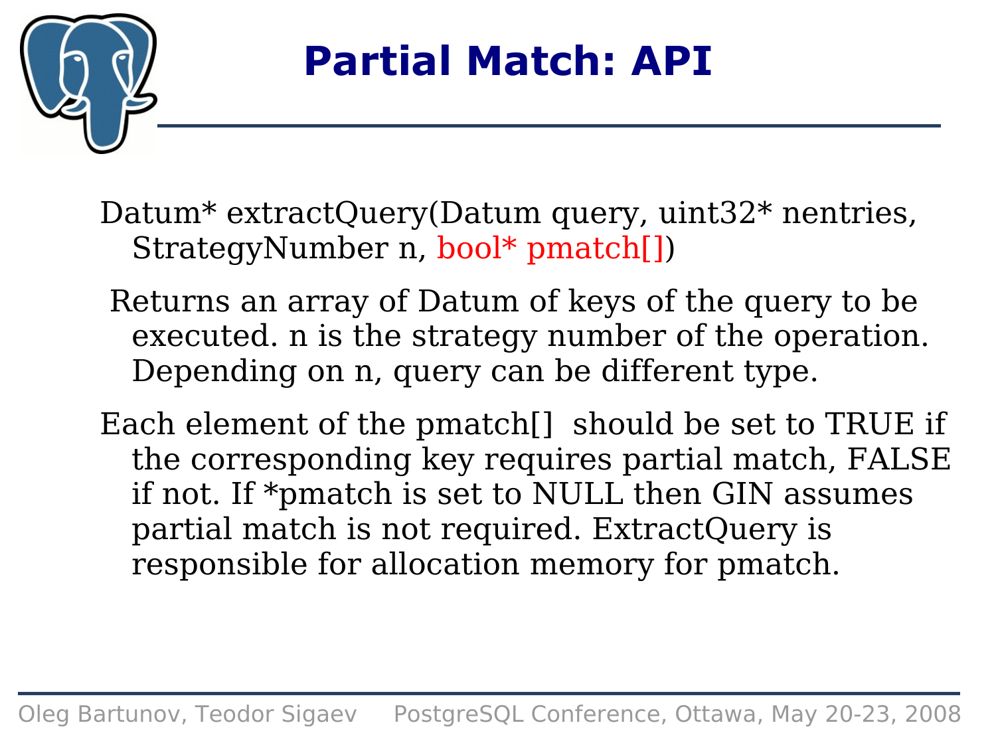

### **Partial Match: API**

Datum<sup>\*</sup> extractQuery(Datum query, uint32<sup>\*</sup> nentries, StrategyNumber n, bool\* pmatch[])

- Returns an array of Datum of keys of the query to be executed. n is the strategy number of the operation. Depending on n, query can be different type.
- Each element of the pmatch[] should be set to TRUE if the corresponding key requires partial match, FALSE if not. If \*pmatch is set to NULL then GIN assumes partial match is not required. ExtractQuery is responsible for allocation memory for pmatch.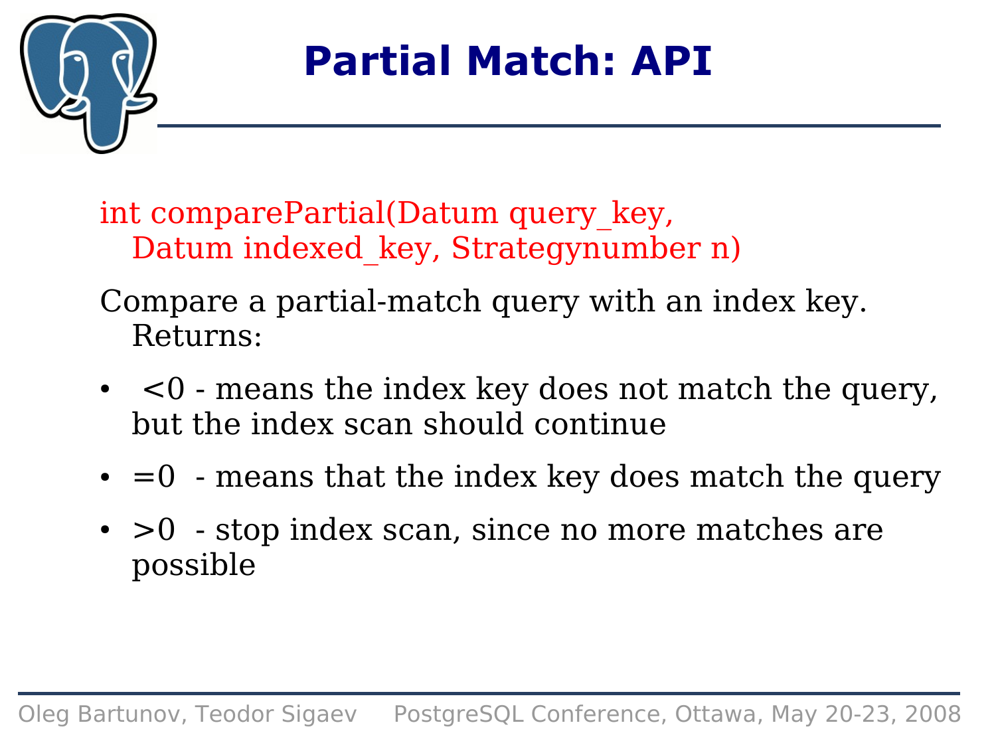

### **Partial Match: API**

int comparePartial(Datum query\_key, Datum indexed\_key, Strategynumber n)

- Compare a partial-match query with an index key. Returns:
- $\bullet$   $\leq$  means the index key does not match the query, but the index scan should continue
- $\bullet$  =0 means that the index key does match the query
- $\bullet$  >0 stop index scan, since no more matches are possible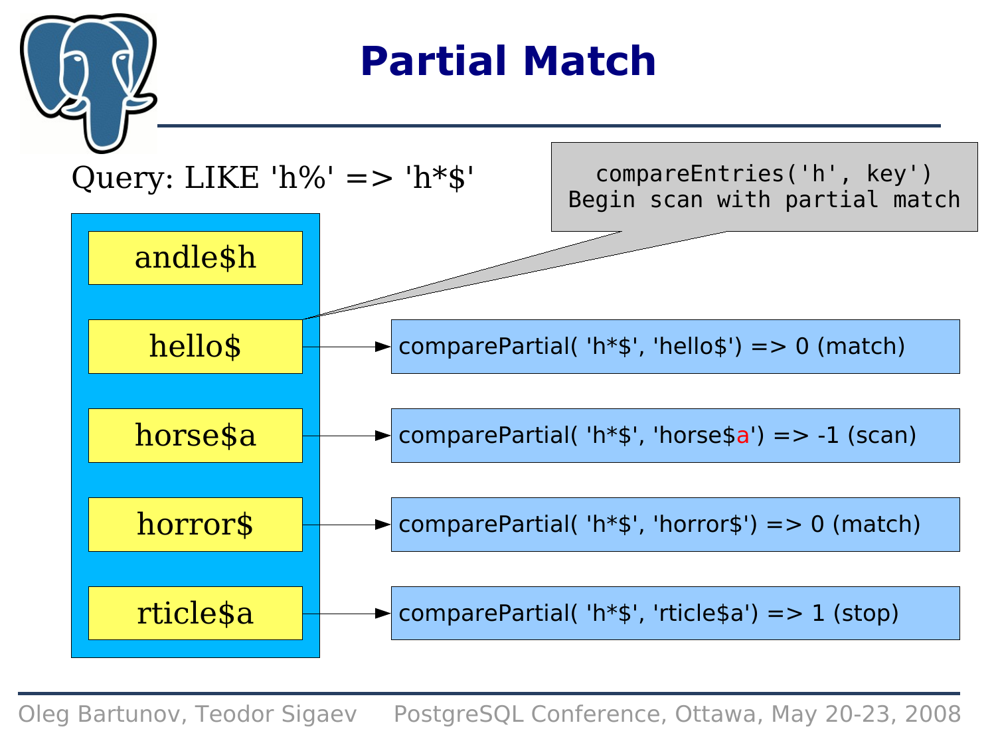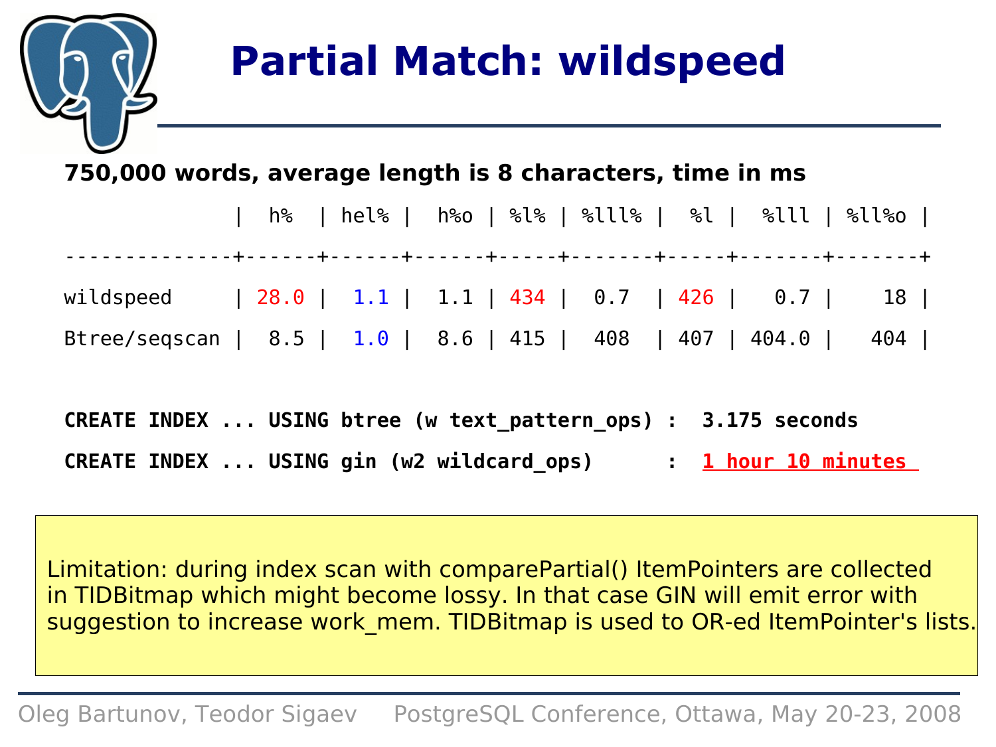## **Partial Match: wildspeed**

#### **750,000 words, average length is 8 characters, time in ms**

|                                                                 |  |  |  |  |  |  | h%   hel%   h%o   %l%   %lll%   %l   %lll   %ll%o |  |
|-----------------------------------------------------------------|--|--|--|--|--|--|---------------------------------------------------|--|
| wildspeed   28.0   1.1   1.1   434   0.7   426   0.7   18       |  |  |  |  |  |  |                                                   |  |
| Btree/seqscan   8.5   1.0   8.6   415   408   407   404.0   404 |  |  |  |  |  |  |                                                   |  |

|  | CREATE INDEX  USING btree (w text pattern ops) : 3.175 seconds |                     |
|--|----------------------------------------------------------------|---------------------|
|  | CREATE INDEX  USING gin (w2 wildcard ops)                      | : 1 hour 10 minutes |

Limitation: during index scan with comparePartial() ItemPointers are collected in TIDBitmap which might become lossy. In that case GIN will emit error with suggestion to increase work mem. TIDBitmap is used to OR-ed ItemPointer's lists.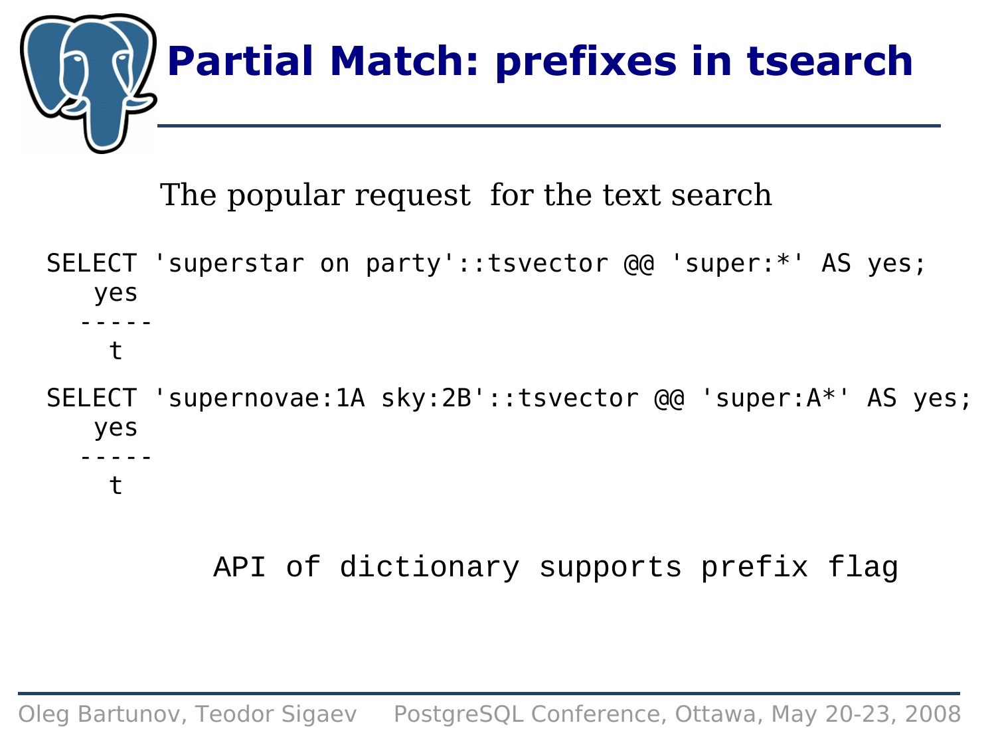

The popular request for the text search

SELECT 'superstar on party'::tsvector @@ 'super:\*' AS yes; yes -----  $\ddagger$ SELECT 'supernovae:1A sky:2B'::tsvector @@ 'super:A\*' AS yes; yes ---- t

API of dictionary supports prefix flag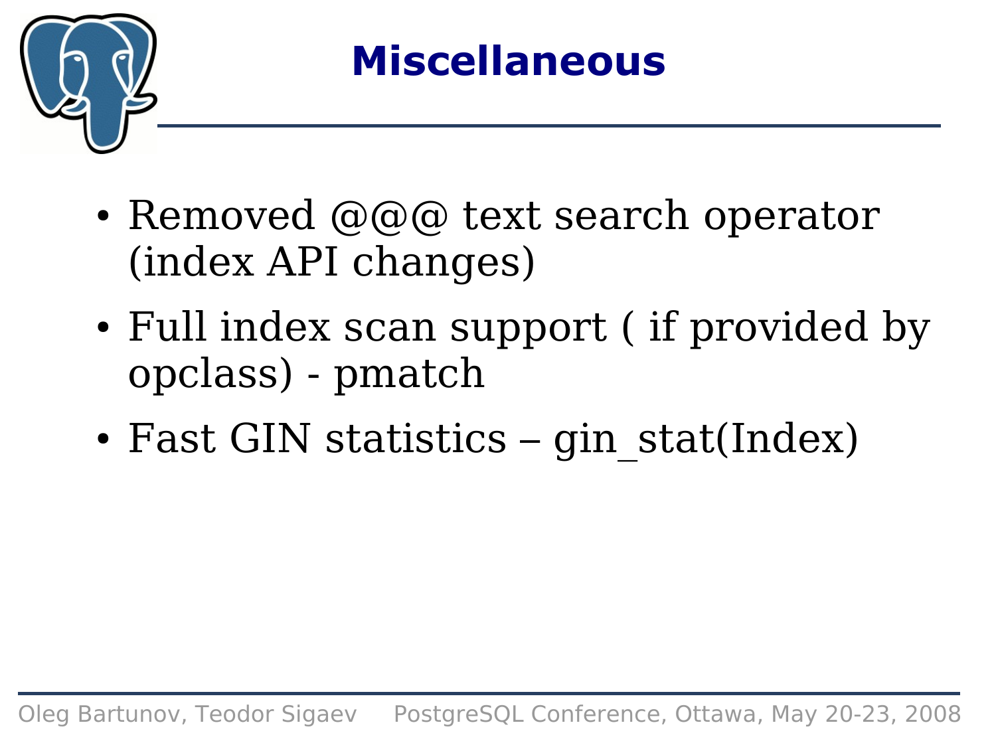

### **Miscellaneous**

- Removed  $\omega(\omega)$  text search operator (index API changes)
- Full index scan support (if provided by opclass) - pmatch
- Fast GIN statistics gin\_stat(Index)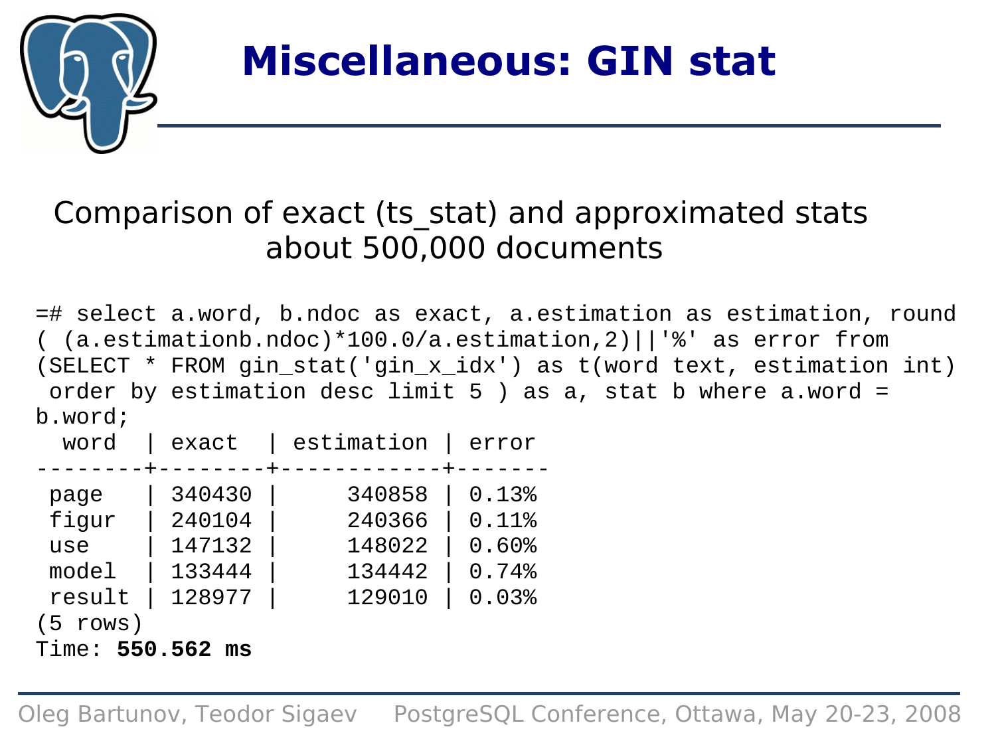

### **Miscellaneous: GIN stat**

### Comparison of exact (ts\_stat) and approximated stats about 500,000 documents

=# select a.word, b.ndoc as exact, a.estimation as estimation, round ( (a.estimationb.ndoc)\*100.0/a.estimation,2)||'%' as error from (SELECT \* FROM gin\_stat('gin\_x\_idx') as t(word text, estimation int) order by estimation desc limit 5 ) as a, stat b where a.word = b.word;

| word             | exact            | estimation       | error          |  |  |
|------------------|------------------|------------------|----------------|--|--|
| page<br>fiqur    | 340430<br>240104 | 340858<br>240366 | 0.13%<br>0.11% |  |  |
| use              | 147132           | 148022           | $0.60$ %       |  |  |
| model            | 133444           | 134442           | 0.74%          |  |  |
| result           | 128977           | 129010           | 0.03%          |  |  |
| $(5$ rows)       |                  |                  |                |  |  |
| Time: 550.562 ms |                  |                  |                |  |  |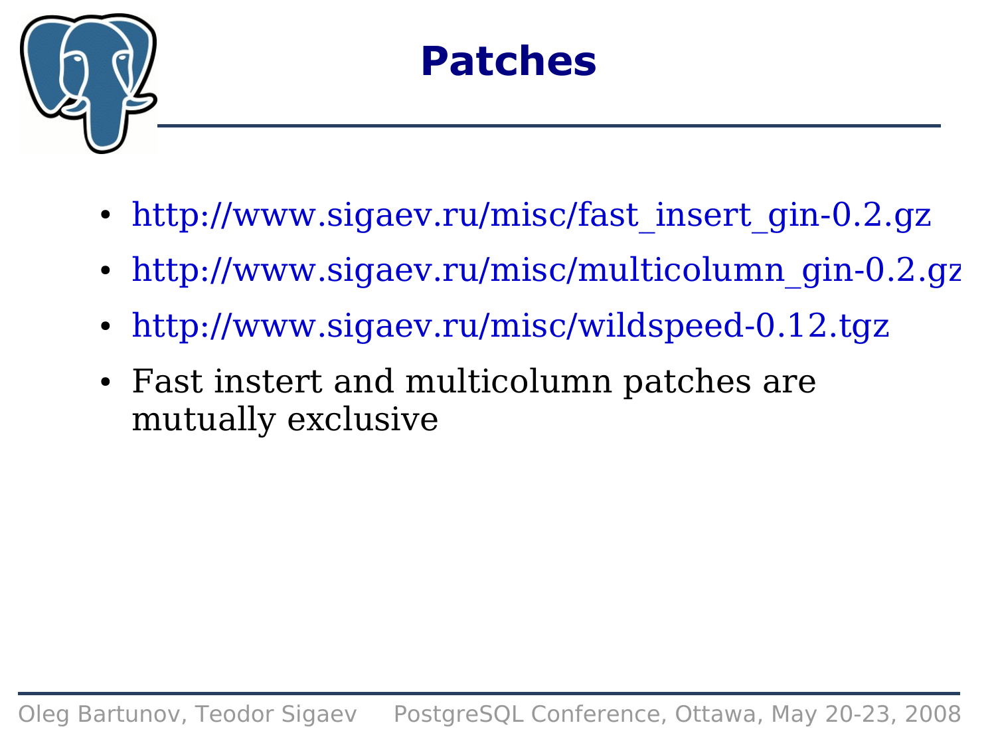

### **Patches**

- [http://www.sigaev.ru/misc/fast\\_insert\\_gin-0.2.gz](http://www.sigaev.ru/misc/fast_insert_gin-0.2.gz)
- [http://www.sigaev.ru/misc/multicolumn\\_gin-0.2.gz](http://www.sigaev.ru/misc/multicolumn_gin-0.2.gz)
- <http://www.sigaev.ru/misc/wildspeed-0.12.tgz>
- Fast instert and multicolumn patches are mutually exclusive